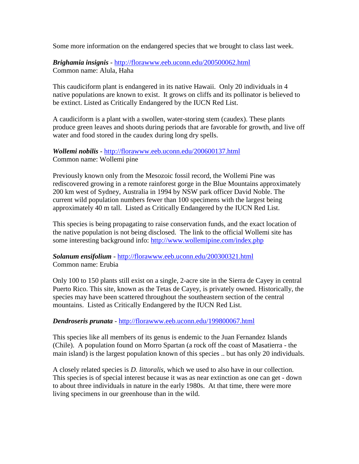Some more information on the endangered species that we brought to class last week.

## *Brighamia insignis* - <http://florawww.eeb.uconn.edu/200500062.html> Common name: Alula, Haha

This caudiciform plant is endangered in its native Hawaii. Only 20 individuals in 4 native populations are known to exist. It grows on cliffs and its pollinator is believed to be extinct. Listed as Critically Endangered by the IUCN Red List.

A caudiciform is a plant with a swollen, water-storing stem (caudex). These plants produce green leaves and shoots during periods that are favorable for growth, and live off water and food stored in the caudex during long dry spells.

## *Wollemi nobilis* - <http://florawww.eeb.uconn.edu/200600137.html> Common name: Wollemi pine

Previously known only from the Mesozoic fossil record, the Wollemi Pine was rediscovered growing in a remote rainforest gorge in the Blue Mountains approximately 200 km west of Sydney, Australia in 1994 by NSW park officer David Noble. The current wild population numbers fewer than 100 specimens with the largest being approximately 40 m tall. Listed as Critically Endangered by the IUCN Red List.

This species is being propagating to raise conservation funds, and the exact location of the native population is not being disclosed. The link to the official Wollemi site has some interesting background info:<http://www.wollemipine.com/index.php>

## *Solanum ensifolium* - <http://florawww.eeb.uconn.edu/200300321.html> Common name: Erubia

Only 100 to 150 plants still exist on a single, 2-acre site in the Sierra de Cayey in central Puerto Rico. This site, known as the Tetas de Cayey, is privately owned. Historically, the species may have been scattered throughout the southeastern section of the central mountains. Listed as Critically Endangered by the IUCN Red List.

## *Dendroseris prunata* - <http://florawww.eeb.uconn.edu/199800067.html>

This species like all members of its genus is endemic to the Juan Fernandez Islands (Chile). A population found on Morro Spartan (a rock off the coast of Masatierra - the main island) is the largest population known of this species .. but has only 20 individuals.

A closely related species is *D. littoralis*, which we used to also have in our collection. This species is of special interest because it was as near extinction as one can get - down to about three individuals in nature in the early 1980s. At that time, there were more living specimens in our greenhouse than in the wild.